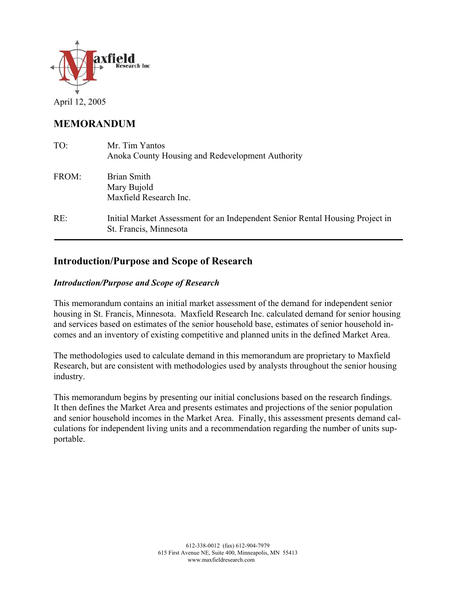

April 12, 2005

# **MEMORANDUM**

| TO:   | Mr. Tim Yantos<br>Anoka County Housing and Redevelopment Authority                                      |
|-------|---------------------------------------------------------------------------------------------------------|
| FROM: | Brian Smith<br>Mary Bujold<br>Maxfield Research Inc.                                                    |
| RE:   | Initial Market Assessment for an Independent Senior Rental Housing Project in<br>St. Francis, Minnesota |

## **Introduction/Purpose and Scope of Research**

#### *Introduction/Purpose and Scope of Research*

This memorandum contains an initial market assessment of the demand for independent senior housing in St. Francis, Minnesota. Maxfield Research Inc. calculated demand for senior housing and services based on estimates of the senior household base, estimates of senior household incomes and an inventory of existing competitive and planned units in the defined Market Area.

The methodologies used to calculate demand in this memorandum are proprietary to Maxfield Research, but are consistent with methodologies used by analysts throughout the senior housing industry.

This memorandum begins by presenting our initial conclusions based on the research findings. It then defines the Market Area and presents estimates and projections of the senior population and senior household incomes in the Market Area. Finally, this assessment presents demand calculations for independent living units and a recommendation regarding the number of units supportable.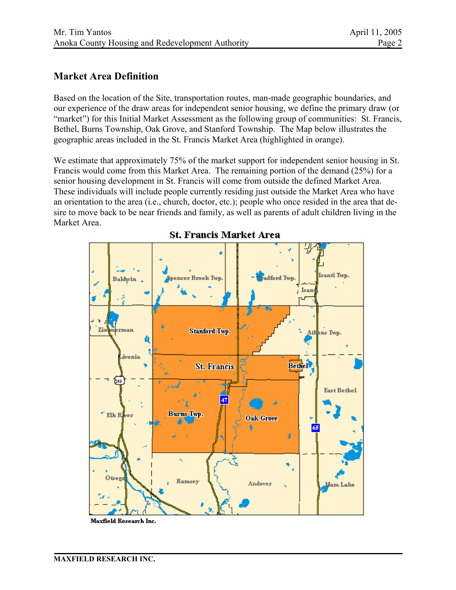### **Market Area Definition**

Based on the location of the Site, transportation routes, man-made geographic boundaries, and our experience of the draw areas for independent senior housing, we define the primary draw (or "market") for this Initial Market Assessment as the following group of communities: St. Francis, Bethel, Burns Township, Oak Grove, and Stanford Township. The Map below illustrates the geographic areas included in the St. Francis Market Area (highlighted in orange).

We estimate that approximately 75% of the market support for independent senior housing in St. Francis would come from this Market Area. The remaining portion of the demand (25%) for a senior housing development in St. Francis will come from outside the defined Market Area. These individuals will include people currently residing just outside the Market Area who have an orientation to the area (i.e., church, doctor, etc.); people who once resided in the area that desire to move back to be near friends and family, as well as parents of adult children living in the Market Area.



### **St. Francis Market Area**

Maxfield Research Inc.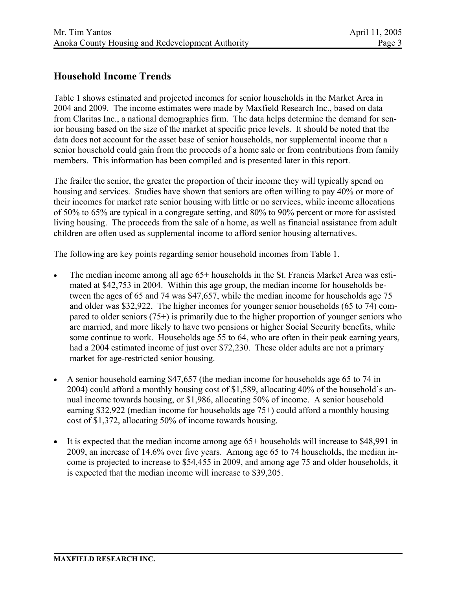### **Household Income Trends**

Table 1 shows estimated and projected incomes for senior households in the Market Area in 2004 and 2009. The income estimates were made by Maxfield Research Inc., based on data from Claritas Inc., a national demographics firm. The data helps determine the demand for senior housing based on the size of the market at specific price levels. It should be noted that the data does not account for the asset base of senior households, nor supplemental income that a senior household could gain from the proceeds of a home sale or from contributions from family members. This information has been compiled and is presented later in this report.

The frailer the senior, the greater the proportion of their income they will typically spend on housing and services. Studies have shown that seniors are often willing to pay 40% or more of their incomes for market rate senior housing with little or no services, while income allocations of 50% to 65% are typical in a congregate setting, and 80% to 90% percent or more for assisted living housing. The proceeds from the sale of a home, as well as financial assistance from adult children are often used as supplemental income to afford senior housing alternatives.

The following are key points regarding senior household incomes from Table 1.

- The median income among all age 65+ households in the St. Francis Market Area was estimated at \$42,753 in 2004. Within this age group, the median income for households between the ages of 65 and 74 was \$47,657, while the median income for households age 75 and older was \$32,922. The higher incomes for younger senior households (65 to 74) compared to older seniors (75+) is primarily due to the higher proportion of younger seniors who are married, and more likely to have two pensions or higher Social Security benefits, while some continue to work. Households age 55 to 64, who are often in their peak earning years, had a 2004 estimated income of just over \$72,230. These older adults are not a primary market for age-restricted senior housing.
- A senior household earning \$47,657 (the median income for households age 65 to 74 in 2004) could afford a monthly housing cost of \$1,589, allocating 40% of the household's annual income towards housing, or \$1,986, allocating 50% of income. A senior household earning \$32,922 (median income for households age 75+) could afford a monthly housing cost of \$1,372, allocating 50% of income towards housing.
- It is expected that the median income among age 65+ households will increase to \$48,991 in 2009, an increase of 14.6% over five years. Among age 65 to 74 households, the median income is projected to increase to \$54,455 in 2009, and among age 75 and older households, it is expected that the median income will increase to \$39,205.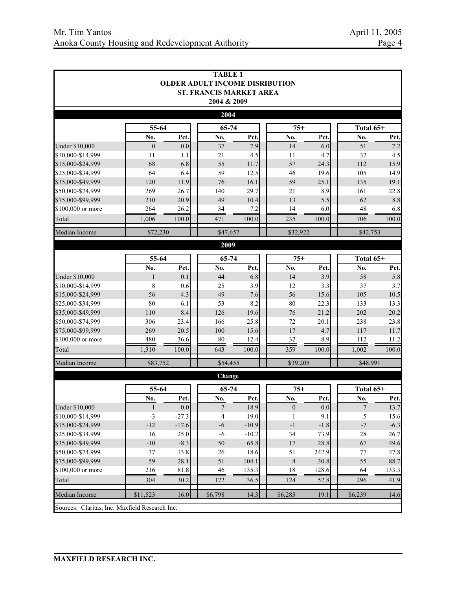| <b>TABLE 1</b><br><b>OLDER ADULT INCOME DISRIBUTION</b> |                      |                  |                                |            |       |             |                  |               |             |
|---------------------------------------------------------|----------------------|------------------|--------------------------------|------------|-------|-------------|------------------|---------------|-------------|
|                                                         |                      |                  | <b>ST. FRANCIS MARKET AREA</b> |            |       |             |                  |               |             |
|                                                         |                      |                  | 2004 & 2009                    |            |       |             |                  |               |             |
|                                                         |                      |                  | 2004                           |            |       |             |                  |               |             |
|                                                         | 55-64                |                  | 65-74                          |            |       | $75+$       |                  | Total 65+     |             |
|                                                         | No.                  | Pct.             | No.                            | Pct.       |       | No.         | Pct.             | No.           | Pct.        |
| <b>Under \$10,000</b><br>\$10,000-\$14,999              | $\overline{0}$<br>11 | 0.0              | 37                             | 7.9<br>4.5 |       | 14<br>11    | 6.0              | 51<br>32      | 7.2         |
| \$15,000-\$24,999                                       | 68                   | 1.1<br>6.8       | 21<br>55                       | 11.7       |       | 57          | 4.7<br>24.3      | 112           | 4.5<br>15.9 |
| \$25,000-\$34,999                                       | 64                   | 6.4              | 59                             | 12.5       |       | 46          | 19.6             | 105           | 14.9        |
| \$35,000-\$49,999                                       | 120                  | 11.9             | 76                             | 16.1       |       | 59          | 25.1             | 135           | 19.1        |
| \$50,000-\$74,999                                       | 269                  | 26.7             | 140                            | 29.7       |       | 21          | 8.9              | 161           | 22.8        |
| \$75,000-\$99,999                                       | 210                  | 20.9             | 49                             | 10.4       |       | 13          | 5.5              | 62            | 8.8         |
| \$100,000 or more                                       | 264                  | 26.2             | 34                             | 7.2        |       | 14          | 6.0              | 48            | 6.8         |
| Total                                                   | 1,006                | 100.0            | 471                            | 100.0      |       | 235         | 100.0            | 706           | 100.0       |
| Median Income                                           | \$72,230             |                  | \$47,657                       |            |       | \$32,922    |                  | \$42,753      |             |
|                                                         |                      |                  | 2009                           |            |       |             |                  |               |             |
|                                                         | $65 - 74$<br>55-64   |                  |                                |            |       | $75+$       |                  | Total 65+     |             |
|                                                         | No.                  | Pct.             | No.                            | Pct.       |       | No.         | Pct.             | No.           | Pct.        |
| <b>Under \$10,000</b>                                   | $\mathbf{1}$         | 0.1              | 44                             | 6.8        |       | 14          | 3.9              | 58            | 5.8         |
| \$10,000-\$14,999                                       | 8                    | 0.6              | 25                             | 3.9        |       | 12          | 3.3              | 37            | 3.7         |
| \$15,000-\$24,999                                       | 56                   | 4.3              | 49                             | 7.6        |       | 56          | 15.6             | 105           | 10.5        |
| \$25,000-\$34,999                                       | 80                   | 6.1              | 53                             | 8.2        |       | 80          | 22.3             | 133           | 13.3        |
| \$35,000-\$49,999                                       | 110                  | 8.4              | 126                            | 19.6       |       | 76          | 21.2             | 202           | 20.2        |
| \$50,000-\$74,999                                       | 306                  | 23.4             | 166                            | 25.8       |       | 72          | 20.1             | 238           | 23.8        |
| \$75,000-\$99,999                                       | 269                  | 20.5             | 100                            | 15.6       |       | 17          | 4.7              | 117           | 11.7        |
| \$100,000 or more                                       | 480                  | 36.6             | 80                             | 12.4       |       | 32          | 8.9              | 112           | 11.2        |
| Total                                                   | 1,310                | 100.0            | 643                            | 100.0      |       | 359         | 100.0            | 1,002         | 100.0       |
| Median Income                                           | \$83,752             |                  | \$54,455                       |            |       | \$39,205    |                  | \$48,991      |             |
|                                                         |                      |                  | Change                         |            |       |             |                  |               |             |
|                                                         | 55-64                |                  | 65-74                          |            | $75+$ |             |                  | Total 65+     |             |
|                                                         | No.                  | Pct.             | No.                            | Pct.       |       | No.         | Pct.             | No.           | Pct.        |
| <b>Under \$10,000</b>                                   | 1                    | 0.0 <sub>l</sub> | 7                              | 18.9       |       | $\bf{0}$    | 0.0 <sub>l</sub> | 7             | 13.7        |
| \$10,000-\$14,999                                       | $-3$                 | $-27.3$          | $\overline{4}$                 | 19.0       |       | 1           | 9.1              | 5             | 15.6        |
| \$15,000-\$24,999                                       | $-12$                | $-17.6$          | $-6$                           | $-10.9$    |       | $^{\rm -1}$ | $-1.8$           | $\textsf{-}7$ | $-6.3$      |
| \$25,000-\$34,999                                       | 16                   | 25.0             | $-6$                           | $-10.2$    |       | 34          | 73.9             | 28            | 26.7        |
| \$35,000-\$49,999                                       | $-10$                | $-8.3$           | 50                             | 65.8       |       | 17          | 28.8             | 67            | 49.6        |
| \$50,000-\$74,999                                       | 37                   | 13.8             | 26                             | 18.6       |       | 51          | 242.9            | $77\,$        | 47.8        |
| \$75,000-\$99,999                                       | 59                   | 28.1             | 51                             | 104.1      |       | $\sqrt{4}$  | 30.8             | 55            | 88.7        |
| \$100,000 or more                                       | 216                  | 81.8             | $46\,$                         | 135.3      |       | 18          | 128.6            | 64            | 133.3       |
| Total                                                   | 304                  | 30.2             | 172                            | 36.5       |       | 124         | 52.8             | 296           | 41.9        |
| Median Income                                           | \$11,523             | 16.0             | \$6,798                        | 14.3       |       | \$6,283     | 19.1             | \$6,239       | 14.6        |
| Sources: Claritas, Inc. Maxfield Research Inc.          |                      |                  |                                |            |       |             |                  |               |             |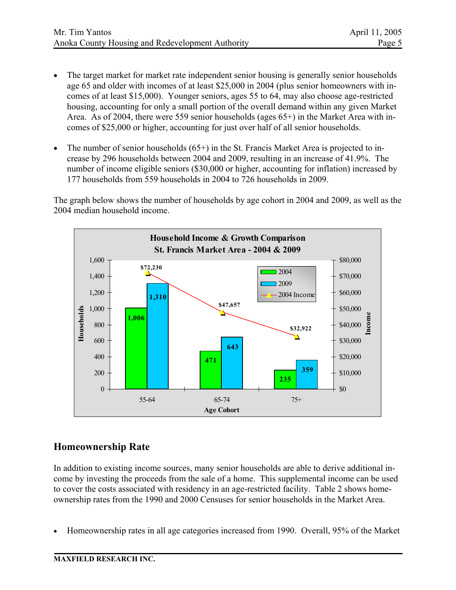- The target market for market rate independent senior housing is generally senior households age 65 and older with incomes of at least \$25,000 in 2004 (plus senior homeowners with incomes of at least \$15,000). Younger seniors, ages 55 to 64, may also choose age-restricted housing, accounting for only a small portion of the overall demand within any given Market Area. As of 2004, there were 559 senior households (ages 65+) in the Market Area with incomes of \$25,000 or higher, accounting for just over half of all senior households.
- The number of senior households (65+) in the St. Francis Market Area is projected to increase by 296 households between 2004 and 2009, resulting in an increase of 41.9%. The number of income eligible seniors (\$30,000 or higher, accounting for inflation) increased by 177 households from 559 households in 2004 to 726 households in 2009.

The graph below shows the number of households by age cohort in 2004 and 2009, as well as the 2004 median household income.



### **Homeownership Rate**

In addition to existing income sources, many senior households are able to derive additional income by investing the proceeds from the sale of a home. This supplemental income can be used to cover the costs associated with residency in an age-restricted facility. Table 2 shows homeownership rates from the 1990 and 2000 Censuses for senior households in the Market Area.

• Homeownership rates in all age categories increased from 1990. Overall, 95% of the Market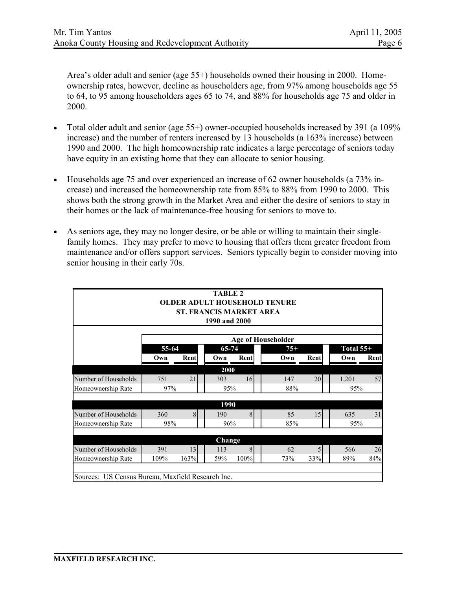Area's older adult and senior (age 55+) households owned their housing in 2000. Homeownership rates, however, decline as householders age, from 97% among households age 55 to 64, to 95 among householders ages 65 to 74, and 88% for households age 75 and older in 2000.

- Total older adult and senior (age 55+) owner-occupied households increased by 391 (a 109% increase) and the number of renters increased by 13 households (a 163% increase) between 1990 and 2000. The high homeownership rate indicates a large percentage of seniors today have equity in an existing home that they can allocate to senior housing.
- Households age 75 and over experienced an increase of 62 owner households (a 73% increase) and increased the homeownership rate from 85% to 88% from 1990 to 2000. This shows both the strong growth in the Market Area and either the desire of seniors to stay in their homes or the lack of maintenance-free housing for seniors to move to.
- As seniors age, they may no longer desire, or be able or willing to maintain their singlefamily homes. They may prefer to move to housing that offers them greater freedom from maintenance and/or offers support services. Seniors typically begin to consider moving into senior housing in their early 70s.

|                                                   |       | <b>ST. FRANCIS MARKET AREA</b> | <b>TABLE 2</b><br>1990 and 2000 |      | <b>OLDER ADULT HOUSEHOLD TENURE</b> |              |             |      |
|---------------------------------------------------|-------|--------------------------------|---------------------------------|------|-------------------------------------|--------------|-------------|------|
|                                                   |       |                                |                                 |      | Age of Householder                  |              |             |      |
|                                                   | 55-64 |                                | 65-74                           |      | $75+$                               |              | Total $55+$ |      |
|                                                   | Own   | Rent                           | Own                             | Rent | Own                                 | Rent         | Own         | Rent |
|                                                   |       |                                | 2000                            |      |                                     |              |             |      |
| Number of Households                              | 751   | 21                             | 303                             | 16   | 147                                 | 20           | 1,201       | 57   |
| Homeownership Rate                                | 97%   |                                | 95%                             |      | 88%                                 |              | 95%         |      |
|                                                   |       |                                |                                 |      |                                     |              |             |      |
| Number of Households                              | 360   | 8                              | 1990<br>190                     | 8    | 85                                  | 15           | 635         | 31   |
| Homeownership Rate                                | 98%   |                                | 96%                             |      | 85%                                 |              | 95%         |      |
|                                                   |       |                                |                                 |      |                                     |              |             |      |
|                                                   |       |                                | Change                          |      |                                     |              |             |      |
| Number of Households                              | 391   | 13                             | 113                             | 8    | 62                                  | $\mathsf{S}$ | 566         | 26   |
| Homeownership Rate                                | 109%  | 163%                           | 59%                             | 100% | 73%                                 | 33%          | 89%         | 84%  |
|                                                   |       |                                |                                 |      |                                     |              |             |      |
| Sources: US Census Bureau, Maxfield Research Inc. |       |                                |                                 |      |                                     |              |             |      |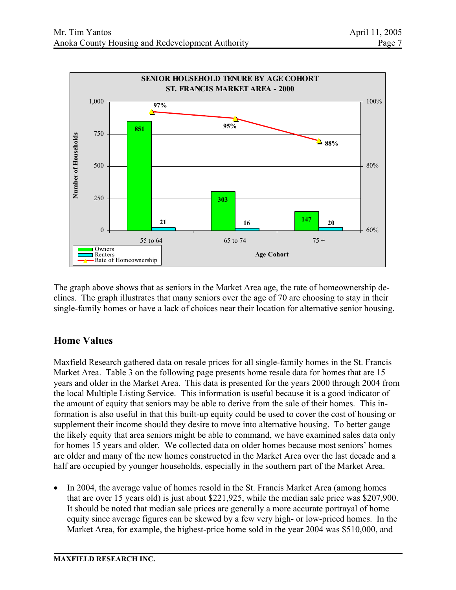

The graph above shows that as seniors in the Market Area age, the rate of homeownership declines. The graph illustrates that many seniors over the age of 70 are choosing to stay in their single-family homes or have a lack of choices near their location for alternative senior housing.

# **Home Values**

Maxfield Research gathered data on resale prices for all single-family homes in the St. Francis Market Area. Table 3 on the following page presents home resale data for homes that are 15 years and older in the Market Area. This data is presented for the years 2000 through 2004 from the local Multiple Listing Service. This information is useful because it is a good indicator of the amount of equity that seniors may be able to derive from the sale of their homes. This information is also useful in that this built-up equity could be used to cover the cost of housing or supplement their income should they desire to move into alternative housing. To better gauge the likely equity that area seniors might be able to command, we have examined sales data only for homes 15 years and older. We collected data on older homes because most seniors' homes are older and many of the new homes constructed in the Market Area over the last decade and a half are occupied by younger households, especially in the southern part of the Market Area.

• In 2004, the average value of homes resold in the St. Francis Market Area (among homes that are over 15 years old) is just about \$221,925, while the median sale price was \$207,900. It should be noted that median sale prices are generally a more accurate portrayal of home equity since average figures can be skewed by a few very high- or low-priced homes. In the Market Area, for example, the highest-price home sold in the year 2004 was \$510,000, and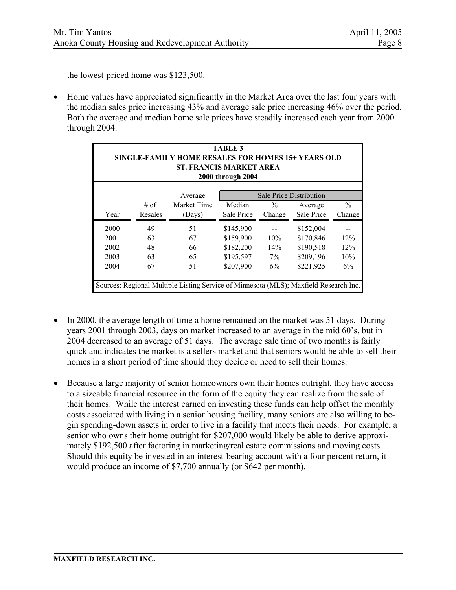the lowest-priced home was \$123,500.

• Home values have appreciated significantly in the Market Area over the last four years with the median sales price increasing 43% and average sale price increasing 46% over the period. Both the average and median home sale prices have steadily increased each year from 2000 through 2004.

| <b>TABLE 3</b><br><b>SINGLE-FAMILY HOME RESALES FOR HOMES 15+ YEARS OLD</b><br><b>ST. FRANCIS MARKET AREA</b><br>2000 through 2004 |                                    |                                                                                       |            |               |            |               |  |  |  |
|------------------------------------------------------------------------------------------------------------------------------------|------------------------------------|---------------------------------------------------------------------------------------|------------|---------------|------------|---------------|--|--|--|
|                                                                                                                                    | Sale Price Distribution<br>Average |                                                                                       |            |               |            |               |  |  |  |
|                                                                                                                                    | $#$ of                             | Market Time                                                                           | Median     | $\frac{0}{0}$ | Average    | $\frac{0}{0}$ |  |  |  |
| Year                                                                                                                               | Resales                            | (Days)                                                                                | Sale Price | Change        | Sale Price | Change        |  |  |  |
| 2000                                                                                                                               | 49                                 | 51                                                                                    | \$145,900  |               | \$152,004  |               |  |  |  |
| 2001                                                                                                                               | 63                                 | 67                                                                                    | \$159,900  | 10%           | \$170,846  | 12%           |  |  |  |
| 2002                                                                                                                               | 48                                 | 66                                                                                    | \$182,200  | 14%           | \$190,518  | 12%           |  |  |  |
| 2003                                                                                                                               | 63                                 | 65                                                                                    | \$195,597  | $7\%$         | \$209,196  | 10%           |  |  |  |
| 2004                                                                                                                               | 67                                 | 51                                                                                    | \$207,900  | 6%            | \$221,925  | 6%            |  |  |  |
|                                                                                                                                    |                                    | Sources: Regional Multiple Listing Service of Minnesota (MLS); Maxfield Research Inc. |            |               |            |               |  |  |  |

- In 2000, the average length of time a home remained on the market was 51 days. During years 2001 through 2003, days on market increased to an average in the mid 60's, but in 2004 decreased to an average of 51 days. The average sale time of two months is fairly quick and indicates the market is a sellers market and that seniors would be able to sell their homes in a short period of time should they decide or need to sell their homes.
- Because a large majority of senior homeowners own their homes outright, they have access to a sizeable financial resource in the form of the equity they can realize from the sale of their homes. While the interest earned on investing these funds can help offset the monthly costs associated with living in a senior housing facility, many seniors are also willing to begin spending-down assets in order to live in a facility that meets their needs. For example, a senior who owns their home outright for \$207,000 would likely be able to derive approximately \$192,500 after factoring in marketing/real estate commissions and moving costs. Should this equity be invested in an interest-bearing account with a four percent return, it would produce an income of \$7,700 annually (or \$642 per month).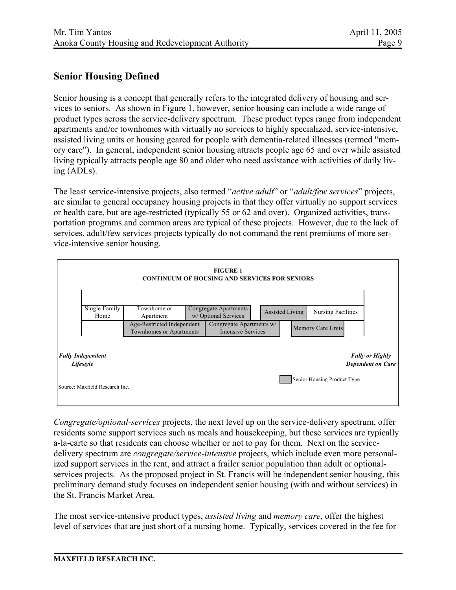## **Senior Housing Defined**

Senior housing is a concept that generally refers to the integrated delivery of housing and services to seniors. As shown in Figure 1, however, senior housing can include a wide range of product types across the service-delivery spectrum. These product types range from independent apartments and/or townhomes with virtually no services to highly specialized, service-intensive, assisted living units or housing geared for people with dementia-related illnesses (termed "memory care"). In general, independent senior housing attracts people age 65 and over while assisted living typically attracts people age 80 and older who need assistance with activities of daily living (ADLs).

The least service-intensive projects, also termed "*active adult*" or "*adult/few services*" projects, are similar to general occupancy housing projects in that they offer virtually no support services or health care, but are age-restricted (typically 55 or 62 and over). Organized activities, transportation programs and common areas are typical of these projects. However, due to the lack of services, adult/few services projects typically do not command the rent premiums of more service-intensive senior housing.



*Congregate/optional-services* projects, the next level up on the service-delivery spectrum, offer residents some support services such as meals and housekeeping, but these services are typically a-la-carte so that residents can choose whether or not to pay for them. Next on the servicedelivery spectrum are *congregate/service-intensive* projects, which include even more personalized support services in the rent, and attract a frailer senior population than adult or optionalservices projects. As the proposed project in St. Francis will be independent senior housing, this preliminary demand study focuses on independent senior housing (with and without services) in the St. Francis Market Area.

The most service-intensive product types, *assisted living* and *memory care*, offer the highest level of services that are just short of a nursing home. Typically, services covered in the fee for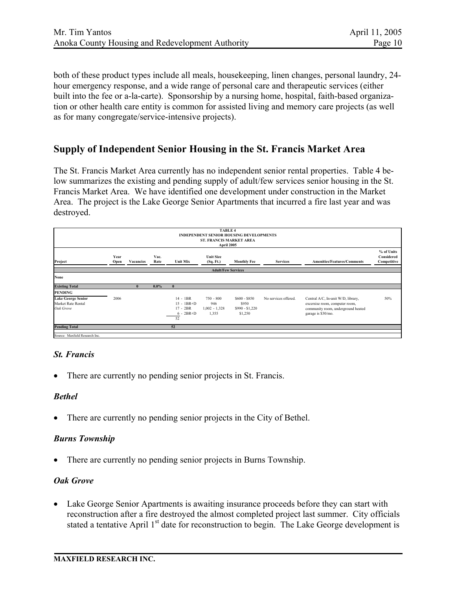both of these product types include all meals, housekeeping, linen changes, personal laundry, 24 hour emergency response, and a wide range of personal care and therapeutic services (either built into the fee or a-la-carte). Sponsorship by a nursing home, hospital, faith-based organization or other health care entity is common for assisted living and memory care projects (as well as for many congregate/service-intensive projects).

### **Supply of Independent Senior Housing in the St. Francis Market Area**

The St. Francis Market Area currently has no independent senior rental properties. Table 4 below summarizes the existing and pending supply of adult/few services senior housing in the St. Francis Market Area. We have identified one development under construction in the Market Area. The project is the Lake George Senior Apartments that incurred a fire last year and was destroyed.

| <b>TABLE 4</b><br><b>INDEPENDENT SENIOR HOUSING DEVELOPMENTS</b><br><b>ST. FRANCIS MARKET AREA</b><br>April 2005 |              |           |              |                                                                   |                                                |                                                      |                      |                                                                                                                                  |                                         |
|------------------------------------------------------------------------------------------------------------------|--------------|-----------|--------------|-------------------------------------------------------------------|------------------------------------------------|------------------------------------------------------|----------------------|----------------------------------------------------------------------------------------------------------------------------------|-----------------------------------------|
| Project                                                                                                          | Year<br>Open | Vacancies | Vac.<br>Rate | <b>Unit Mix</b>                                                   | <b>Unit Size</b><br>(Sq. Ft.)                  | <b>Monthly Fee</b>                                   | <b>Services</b>      | <b>Amenities/Features/Comments</b>                                                                                               | % of Units<br>Considered<br>Competitive |
|                                                                                                                  |              |           |              |                                                                   | <b>Adult/Few Services</b>                      |                                                      |                      |                                                                                                                                  |                                         |
| None                                                                                                             |              |           |              |                                                                   |                                                |                                                      |                      |                                                                                                                                  |                                         |
| <b>Existing Total</b>                                                                                            |              | 0         | $0.0\%$      | $\mathbf{0}$                                                      |                                                |                                                      |                      |                                                                                                                                  |                                         |
| <b>PENDING</b>                                                                                                   |              |           |              |                                                                   |                                                |                                                      |                      |                                                                                                                                  |                                         |
| <b>Lake George Senior</b><br>Market Rate Rental<br>Oak Grove                                                     | 2006         |           |              | $14 - 1BR$<br>$15 - 1BR + D$<br>$17 - 2BR$<br>$6 - 2BR + D$<br>52 | $750 - 800$<br>946<br>$1,002 - 1,328$<br>1,355 | $$600 - $850$<br>\$950<br>$$990 - $1,220$<br>\$1,250 | No services offered. | Central A/C, In-unit W/D, library,<br>excersise room, computer room,<br>community room, underground heated<br>garage is \$30/mo. | 50%                                     |
| <b>Pending Total</b>                                                                                             |              |           |              | 52                                                                |                                                |                                                      |                      |                                                                                                                                  |                                         |
| Source: Maxfield Research Inc.                                                                                   |              |           |              |                                                                   |                                                |                                                      |                      |                                                                                                                                  |                                         |

#### *St. Francis*

There are currently no pending senior projects in St. Francis.

#### *Bethel*

There are currently no pending senior projects in the City of Bethel.

#### *Burns Township*

• There are currently no pending senior projects in Burns Township.

#### *Oak Grove*

• Lake George Senior Apartments is awaiting insurance proceeds before they can start with reconstruction after a fire destroyed the almost completed project last summer. City officials stated a tentative April 1<sup>st</sup> date for reconstruction to begin. The Lake George development is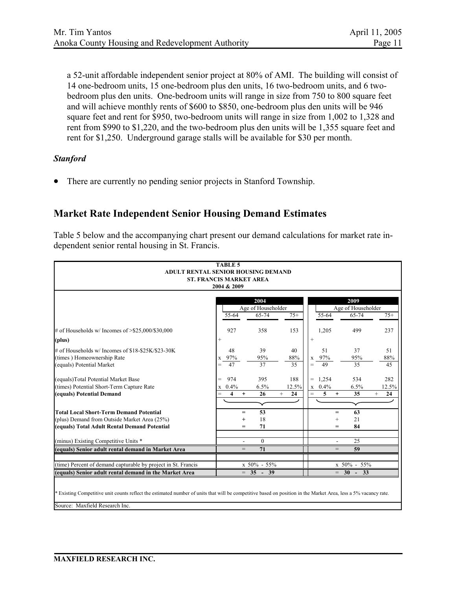a 52-unit affordable independent senior project at 80% of AMI. The building will consist of 14 one-bedroom units, 15 one-bedroom plus den units, 16 two-bedroom units, and 6 twobedroom plus den units. One-bedroom units will range in size from 750 to 800 square feet and will achieve monthly rents of \$600 to \$850, one-bedroom plus den units will be 946 square feet and rent for \$950, two-bedroom units will range in size from 1,002 to 1,328 and rent from \$990 to \$1,220, and the two-bedroom plus den units will be 1,355 square feet and rent for \$1,250. Underground garage stalls will be available for \$30 per month.

#### *Stanford*

• There are currently no pending senior projects in Stanford Township.

### **Market Rate Independent Senior Housing Demand Estimates**

Table 5 below and the accompanying chart present our demand calculations for market rate independent senior rental housing in St. Francis.

| <b>TABLE 5</b>                                                                                                                                                  |                                             |                             |              |                       |                             |              |  |
|-----------------------------------------------------------------------------------------------------------------------------------------------------------------|---------------------------------------------|-----------------------------|--------------|-----------------------|-----------------------------|--------------|--|
| ADULT RENTAL SENIOR HOUSING DEMAND                                                                                                                              |                                             |                             |              |                       |                             |              |  |
| <b>ST. FRANCIS MARKET AREA</b>                                                                                                                                  |                                             |                             |              |                       |                             |              |  |
|                                                                                                                                                                 | 2004 & 2009                                 |                             |              |                       |                             |              |  |
|                                                                                                                                                                 |                                             |                             |              |                       |                             |              |  |
|                                                                                                                                                                 |                                             | 2004                        |              |                       | 2009                        |              |  |
|                                                                                                                                                                 | 55-64                                       | Age of Householder<br>65-74 | $75+$        | 55-64                 | Age of Householder<br>65-74 | $75+$        |  |
|                                                                                                                                                                 |                                             |                             |              |                       |                             |              |  |
| # of Households w/ Incomes of $> $25,000/$30,000$                                                                                                               | 927                                         | 358                         | 153          | 1,205                 | 499                         | 237          |  |
| (plus)                                                                                                                                                          | $\! + \!\!\!\!$                             |                             |              | $^{+}$                |                             |              |  |
| # of Households w/ Incomes of \$18-\$25K/\$23-30K                                                                                                               | 48                                          | 39                          | 40           | 51                    | 37                          | 51           |  |
| (times) Homeownership Rate                                                                                                                                      | x 97%                                       | 95%                         | 88%          | 97%<br>X              | 95%                         | 88%          |  |
| (equals) Potential Market                                                                                                                                       | 47                                          | 37                          | 35           | 49<br>$=$             | 35                          | 45           |  |
| (equals)Total Potential Market Base                                                                                                                             | 974<br>$=$                                  | 395                         | 188          | 1,254<br>$=$          | 534                         | 282          |  |
| (times) Potential Short-Term Capture Rate                                                                                                                       | 0.4%<br>X                                   | 6.5%                        | 12.5%        | 0.4%<br>$\mathbf X$   | 6.5%                        | 12.5%        |  |
| (equals) Potential Demand                                                                                                                                       | $\overline{\mathbf{4}}$<br>$=$<br>$\ddot{}$ | 26                          | $^{+}$<br>24 | 5<br>$=$<br>$\ddot{}$ | 35                          | 24<br>$^{+}$ |  |
|                                                                                                                                                                 |                                             |                             |              |                       |                             |              |  |
| <b>Total Local Short-Term Demand Potential</b>                                                                                                                  | $=$                                         | 53                          |              | $=$                   | 63                          |              |  |
| (plus) Demand from Outside Market Area (25%)                                                                                                                    | $\ddot{}$                                   | 18                          |              | $^{+}$                | 21                          |              |  |
| (equals) Total Adult Rental Demand Potential                                                                                                                    | $=$                                         | 71                          |              | $=$                   | 84                          |              |  |
| (minus) Existing Competitive Units *                                                                                                                            |                                             | $\boldsymbol{0}$            |              |                       | 25                          |              |  |
| (equals) Senior adult rental demand in Market Area                                                                                                              | $=$                                         | 71                          |              | $=$                   | 59                          |              |  |
|                                                                                                                                                                 |                                             |                             |              |                       |                             |              |  |
| (time) Percent of demand capturable by project in St. Francis                                                                                                   |                                             | x 50% - 55%                 |              |                       | x 50% - 55%                 |              |  |
| (equals) Senior adult rental demand in the Market Area                                                                                                          |                                             | $= 35 - 39$                 |              | $=$                   | $30 -$<br>33                |              |  |
|                                                                                                                                                                 |                                             |                             |              |                       |                             |              |  |
| * Existing Competitive unit counts reflect the estimated number of units that will be competitive based on position in the Market Area, less a 5% vacancy rate. |                                             |                             |              |                       |                             |              |  |
|                                                                                                                                                                 |                                             |                             |              |                       |                             |              |  |
| Source: Maxfield Research Inc.                                                                                                                                  |                                             |                             |              |                       |                             |              |  |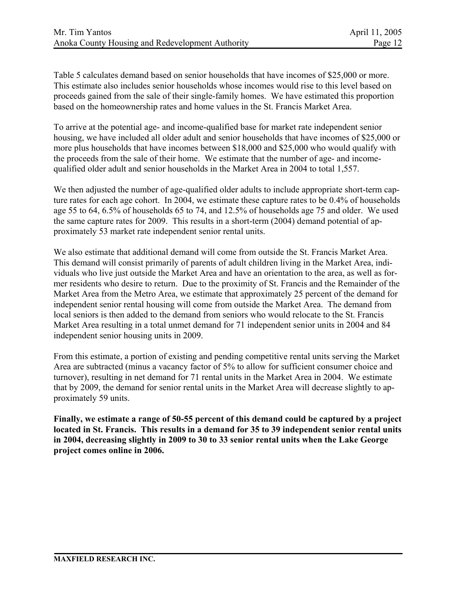Table 5 calculates demand based on senior households that have incomes of \$25,000 or more. This estimate also includes senior households whose incomes would rise to this level based on proceeds gained from the sale of their single-family homes. We have estimated this proportion based on the homeownership rates and home values in the St. Francis Market Area.

To arrive at the potential age- and income-qualified base for market rate independent senior housing, we have included all older adult and senior households that have incomes of \$25,000 or more plus households that have incomes between \$18,000 and \$25,000 who would qualify with the proceeds from the sale of their home. We estimate that the number of age- and incomequalified older adult and senior households in the Market Area in 2004 to total 1,557.

We then adjusted the number of age-qualified older adults to include appropriate short-term capture rates for each age cohort. In 2004, we estimate these capture rates to be 0.4% of households age 55 to 64, 6.5% of households 65 to 74, and 12.5% of households age 75 and older. We used the same capture rates for 2009. This results in a short-term (2004) demand potential of approximately 53 market rate independent senior rental units.

We also estimate that additional demand will come from outside the St. Francis Market Area. This demand will consist primarily of parents of adult children living in the Market Area, individuals who live just outside the Market Area and have an orientation to the area, as well as former residents who desire to return. Due to the proximity of St. Francis and the Remainder of the Market Area from the Metro Area, we estimate that approximately 25 percent of the demand for independent senior rental housing will come from outside the Market Area. The demand from local seniors is then added to the demand from seniors who would relocate to the St. Francis Market Area resulting in a total unmet demand for 71 independent senior units in 2004 and 84 independent senior housing units in 2009.

From this estimate, a portion of existing and pending competitive rental units serving the Market Area are subtracted (minus a vacancy factor of 5% to allow for sufficient consumer choice and turnover), resulting in net demand for 71 rental units in the Market Area in 2004. We estimate that by 2009, the demand for senior rental units in the Market Area will decrease slightly to approximately 59 units.

**Finally, we estimate a range of 50-55 percent of this demand could be captured by a project located in St. Francis. This results in a demand for 35 to 39 independent senior rental units in 2004, decreasing slightly in 2009 to 30 to 33 senior rental units when the Lake George project comes online in 2006.**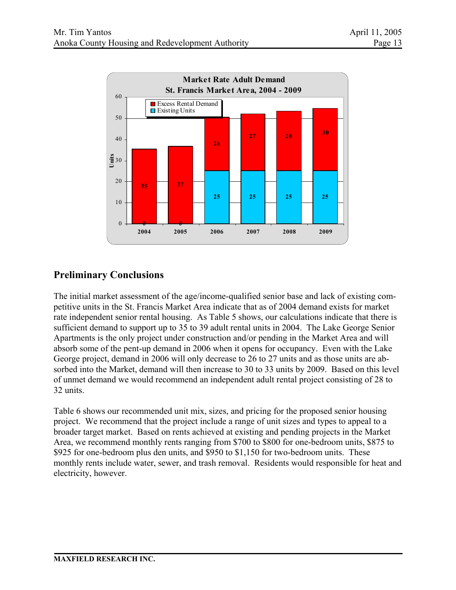

# **Preliminary Conclusions**

The initial market assessment of the age/income-qualified senior base and lack of existing competitive units in the St. Francis Market Area indicate that as of 2004 demand exists for market rate independent senior rental housing. As Table 5 shows, our calculations indicate that there is sufficient demand to support up to 35 to 39 adult rental units in 2004. The Lake George Senior Apartments is the only project under construction and/or pending in the Market Area and will absorb some of the pent-up demand in 2006 when it opens for occupancy. Even with the Lake George project, demand in 2006 will only decrease to 26 to 27 units and as those units are absorbed into the Market, demand will then increase to 30 to 33 units by 2009. Based on this level of unmet demand we would recommend an independent adult rental project consisting of 28 to 32 units.

Table 6 shows our recommended unit mix, sizes, and pricing for the proposed senior housing project. We recommend that the project include a range of unit sizes and types to appeal to a broader target market. Based on rents achieved at existing and pending projects in the Market Area, we recommend monthly rents ranging from \$700 to \$800 for one-bedroom units, \$875 to \$925 for one-bedroom plus den units, and \$950 to \$1,150 for two-bedroom units. These monthly rents include water, sewer, and trash removal. Residents would responsible for heat and electricity, however.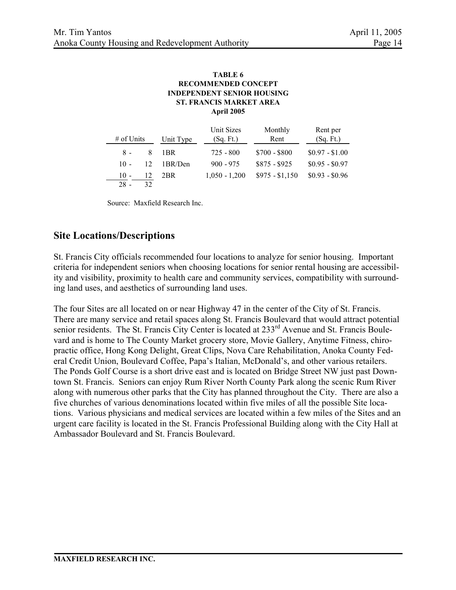#### **TABLE 6 ST. FRANCIS MARKET AREA INDEPENDENT SENIOR HOUSING RECOMMENDED CONCEPT April 2005**

| $\#$ of Units |    | Unit Type | Unit Sizes<br>(Sq. Ft.) | Monthly<br>Rent | Rent per<br>(Sq. Ft.) |
|---------------|----|-----------|-------------------------|-----------------|-----------------------|
| $8 -$         | 8  | 1BR       | $725 - 800$             | $$700 - $800$   | $$0.97 - $1.00$       |
| $10 -$        | 12 | 1BR/Den   | $900 - 975$             | $$875 - $925$   | $$0.95 - $0.97$       |
| $10 -$        |    | 2BR       | $1,050 - 1,200$         | $$975 - $1,150$ | $$0.93 - $0.96$       |
| $28 -$        | 32 |           |                         |                 |                       |

Source: Maxfield Research Inc.

## **Site Locations/Descriptions**

St. Francis City officials recommended four locations to analyze for senior housing. Important criteria for independent seniors when choosing locations for senior rental housing are accessibility and visibility, proximity to health care and community services, compatibility with surrounding land uses, and aesthetics of surrounding land uses.

The four Sites are all located on or near Highway 47 in the center of the City of St. Francis. There are many service and retail spaces along St. Francis Boulevard that would attract potential senior residents. The St. Francis City Center is located at 233<sup>rd</sup> Avenue and St. Francis Boulevard and is home to The County Market grocery store, Movie Gallery, Anytime Fitness, chiropractic office, Hong Kong Delight, Great Clips, Nova Care Rehabilitation, Anoka County Federal Credit Union, Boulevard Coffee, Papa's Italian, McDonald's, and other various retailers. The Ponds Golf Course is a short drive east and is located on Bridge Street NW just past Downtown St. Francis. Seniors can enjoy Rum River North County Park along the scenic Rum River along with numerous other parks that the City has planned throughout the City. There are also a five churches of various denominations located within five miles of all the possible Site locations. Various physicians and medical services are located within a few miles of the Sites and an urgent care facility is located in the St. Francis Professional Building along with the City Hall at Ambassador Boulevard and St. Francis Boulevard.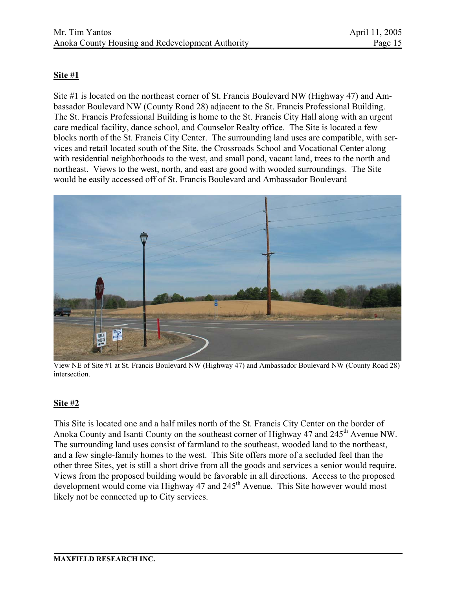### **Site #1**

Site #1 is located on the northeast corner of St. Francis Boulevard NW (Highway 47) and Ambassador Boulevard NW (County Road 28) adjacent to the St. Francis Professional Building. The St. Francis Professional Building is home to the St. Francis City Hall along with an urgent care medical facility, dance school, and Counselor Realty office. The Site is located a few blocks north of the St. Francis City Center. The surrounding land uses are compatible, with services and retail located south of the Site, the Crossroads School and Vocational Center along with residential neighborhoods to the west, and small pond, vacant land, trees to the north and northeast. Views to the west, north, and east are good with wooded surroundings. The Site would be easily accessed off of St. Francis Boulevard and Ambassador Boulevard



View NE of Site #1 at St. Francis Boulevard NW (Highway 47) and Ambassador Boulevard NW (County Road 28) intersection.

#### **Site #2**

This Site is located one and a half miles north of the St. Francis City Center on the border of Anoka County and Isanti County on the southeast corner of Highway 47 and 245<sup>th</sup> Avenue NW. The surrounding land uses consist of farmland to the southeast, wooded land to the northeast, and a few single-family homes to the west. This Site offers more of a secluded feel than the other three Sites, yet is still a short drive from all the goods and services a senior would require. Views from the proposed building would be favorable in all directions. Access to the proposed development would come via Highway 47 and  $245<sup>th</sup>$  Avenue. This Site however would most likely not be connected up to City services.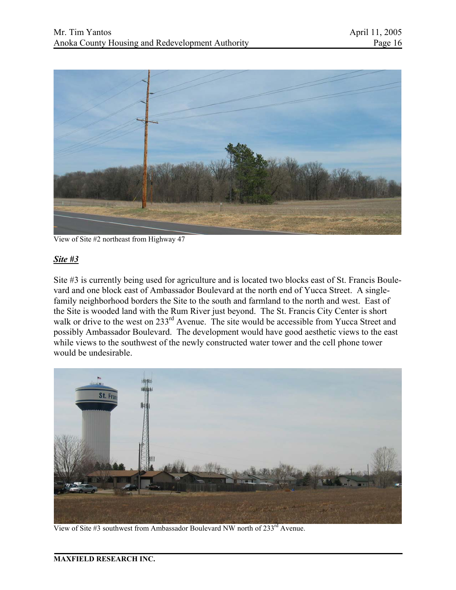

View of Site #2 northeast from Highway 47

### *Site #3*

Site #3 is currently being used for agriculture and is located two blocks east of St. Francis Boulevard and one block east of Ambassador Boulevard at the north end of Yucca Street. A singlefamily neighborhood borders the Site to the south and farmland to the north and west. East of the Site is wooded land with the Rum River just beyond. The St. Francis City Center is short walk or drive to the west on 233<sup>rd</sup> Avenue. The site would be accessible from Yucca Street and possibly Ambassador Boulevard. The development would have good aesthetic views to the east while views to the southwest of the newly constructed water tower and the cell phone tower would be undesirable.



View of Site #3 southwest from Ambassador Boulevard NW north of  $233<sup>rd</sup>$  Avenue.